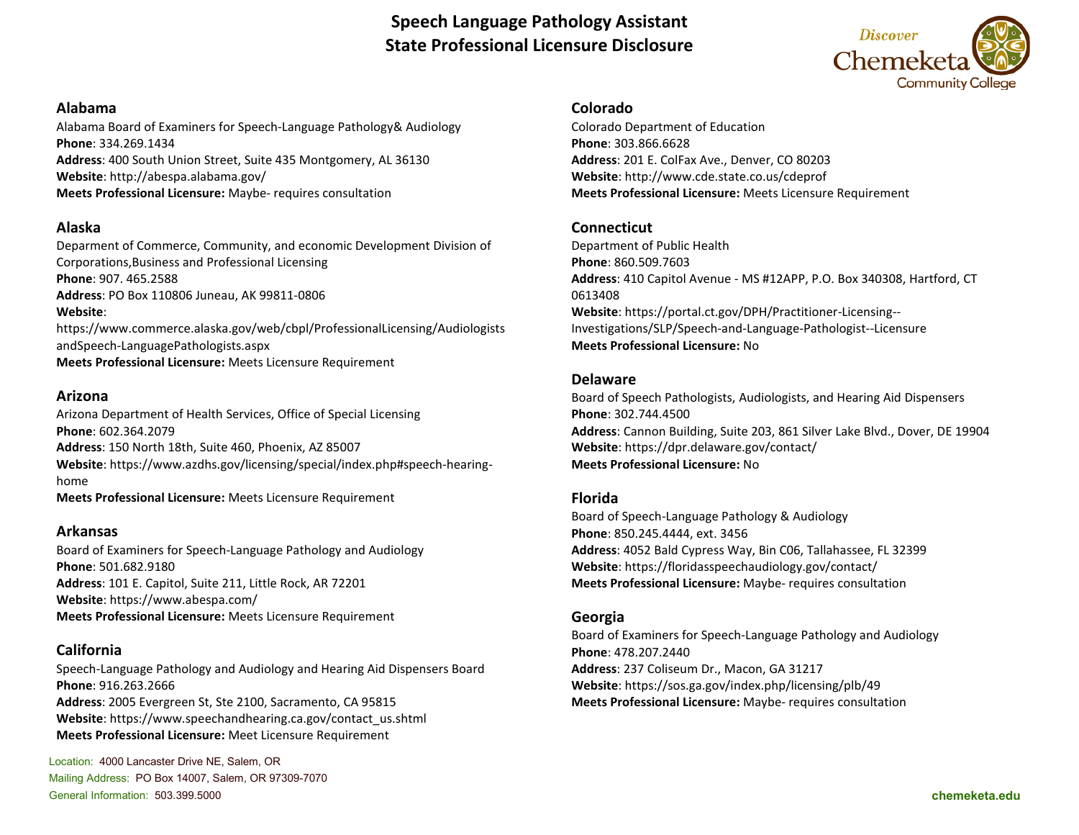# **Speech Language Pathology Assistant State Professional Licensure Disclosure**



#### **Alabama**

Alabama Board of Examiners for Speech-Language Pathology& Audiology **Phone**: 334.269.1434 **Address**: 400 South Union Street, Suite 435 Montgomery, AL 36130 **Website**: http://abespa.alabama.gov/ **Meets Professional Licensure:** Maybe- requires consultation

### **Alaska**

Deparment of Commerce, Community, and economic Development Division of Corporations,Business and Professional Licensing **Phone**: 907. 465.2588 **Address**: PO Box 110806 Juneau, AK 99811-0806 **Website**: https://www.commerce.alaska.gov/web/cbpl/ProfessionalLicensing/Audiologists andSpeech-LanguagePathologists.aspx **Meets Professional Licensure:** Meets Licensure Requirement

### **Arizona**

Arizona Department of Health Services, Office of Special Licensing **Phone**: 602.364.2079 **Address**: 150 North 18th, Suite 460, Phoenix, AZ 85007 **Website**: https://www.azdhs.gov/licensing/special/index.php#speech-hearinghome **Meets Professional Licensure:** Meets Licensure Requirement

### **Arkansas**

Board of Examiners for Speech-Language Pathology and Audiology **Phone**: 501.682.9180 **Address**: 101 E. Capitol, Suite 211, Little Rock, AR 72201 **Website**: https://www.abespa.com/ **Meets Professional Licensure:** Meets Licensure Requirement

# **California**

Speech-Language Pathology and Audiology and Hearing Aid Dispensers Board **Phone**: 916.263.2666 **Address**: 2005 Evergreen St, Ste 2100, Sacramento, CA 95815 **Website**: https://www.speechandhearing.ca.gov/contact\_us.shtml **Meets Professional Licensure:** Meet Licensure Requirement

Location: 4000 Lancaster Drive NE, Salem, OR Mailing Address: PO Box 14007, Salem, OR 97309-7070 General Information: 503.399.5000 **chemeketa.edu**

### **Colorado**

Colorado Department of Education **Phone**: 303.866.6628 **Address**: 201 E. ColFax Ave., Denver, CO 80203 **Website**: http://www.cde.state.co.us/cdeprof **Meets Professional Licensure:** Meets Licensure Requirement

### **Connecticut**

Department of Public Health **Phone**: 860.509.7603 **Address**: 410 Capitol Avenue - MS #12APP, P.O. Box 340308, Hartford, CT 0613408 **Website**: https://portal.ct.gov/DPH/Practitioner-Licensing-- Investigations/SLP/Speech-and-Language-Pathologist--Licensure **Meets Professional Licensure:** No

### **Delaware**

Board of Speech Pathologists, Audiologists, and Hearing Aid Dispensers **Phone**: 302.744.4500 **Address**: Cannon Building, Suite 203, 861 Silver Lake Blvd., Dover, DE 19904 **Website**: https://dpr.delaware.gov/contact/ **Meets Professional Licensure:** No

### **Florida**

Board of Speech-Language Pathology & Audiology **Phone**: 850.245.4444, ext. 3456 **Address**: 4052 Bald Cypress Way, Bin C06, Tallahassee, FL 32399 **Website**: https://floridasspeechaudiology.gov/contact/ **Meets Professional Licensure:** Maybe- requires consultation

### **Georgia**

Board of Examiners for Speech-Language Pathology and Audiology **Phone**: 478.207.2440 **Address**: 237 Coliseum Dr., Macon, GA 31217 **Website**: https://sos.ga.gov/index.php/licensing/plb/49 **Meets Professional Licensure:** Maybe- requires consultation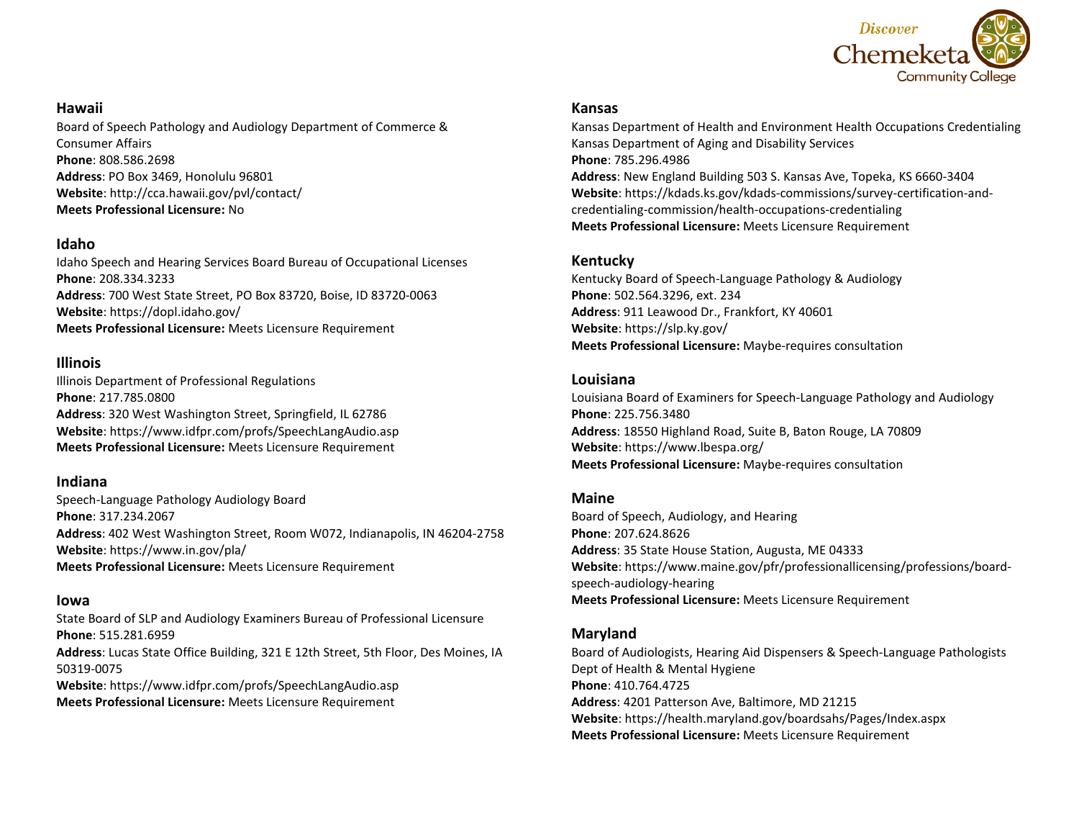

### **Hawaii**

Board of Speech Pathology and Audiology Department of Commerce & Consumer Affairs **Phone**: 808.586.2698 **Address**: PO Box 3469, Honolulu 96801 **Website**: http://cca.hawaii.gov/pvl/contact/ **Meets Professional Licensure:** No

### **Idaho**

Idaho Speech and Hearing Services Board Bureau of Occupational Licenses **Phone**: 208.334.3233 **Address**: 700 West State Street, PO Box 83720, Boise, ID 83720-0063 **Website**: https://dopl.idaho.gov/ **Meets Professional Licensure:** Meets Licensure Requirement

### **Illinois**

Illinois Department of Professional Regulations **Phone**: 217.785.0800 **Address**: 320 West Washington Street, Springfield, IL 62786 **Website**: https://www.idfpr.com/profs/SpeechLangAudio.asp **Meets Professional Licensure:** Meets Licensure Requirement

### **Indiana**

Speech-Language Pathology Audiology Board **Phone**: 317.234.2067 **Address**: 402 West Washington Street, Room W072, Indianapolis, IN 46204-2758 **Website**: https://www.in.gov/pla/ **Meets Professional Licensure:** Meets Licensure Requirement

#### **Iowa**

State Board of SLP and Audiology Examiners Bureau of Professional Licensure **Phone**: 515.281.6959 **Address**: Lucas State Office Building, 321 E 12th Street, 5th Floor, Des Moines, IA 50319-0075 **Website**: https://www.idfpr.com/profs/SpeechLangAudio.asp **Meets Professional Licensure:** Meets Licensure Requirement

#### **Kansas**

Kansas Department of Health and Environment Health Occupations Credentialing Kansas Department of Aging and Disability Services **Phone**: 785.296.4986 **Address**: New England Building 503 S. Kansas Ave, Topeka, KS 6660-3404 **Website**: https://kdads.ks.gov/kdads-commissions/survey-certification-andcredentialing-commission/health-occupations-credentialing **Meets Professional Licensure:** Meets Licensure Requirement

## **Kentucky**

Kentucky Board of Speech-Language Pathology & Audiology **Phone**: 502.564.3296, ext. 234 **Address**: 911 Leawood Dr., Frankfort, KY 40601 **Website**: https://slp.ky.gov/ **Meets Professional Licensure:** Maybe-requires consultation

### **Louisiana**

Louisiana Board of Examiners for Speech-Language Pathology and Audiology **Phone**: 225.756.3480 **Address**: 18550 Highland Road, Suite B, Baton Rouge, LA 70809 **Website**: https://www.lbespa.org/ **Meets Professional Licensure:** Maybe-requires consultation

### **Maine**

Board of Speech, Audiology, and Hearing **Phone**: 207.624.8626 **Address**: 35 State House Station, Augusta, ME 04333 **Website**: https://www.maine.gov/pfr/professionallicensing/professions/boardspeech-audiology-hearing **Meets Professional Licensure:** Meets Licensure Requirement

### **Maryland**

Board of Audiologists, Hearing Aid Dispensers & Speech-Language Pathologists Dept of Health & Mental Hygiene **Phone**: 410.764.4725 **Address**: 4201 Patterson Ave, Baltimore, MD 21215 **Website**: https://health.maryland.gov/boardsahs/Pages/Index.aspx **Meets Professional Licensure:** Meets Licensure Requirement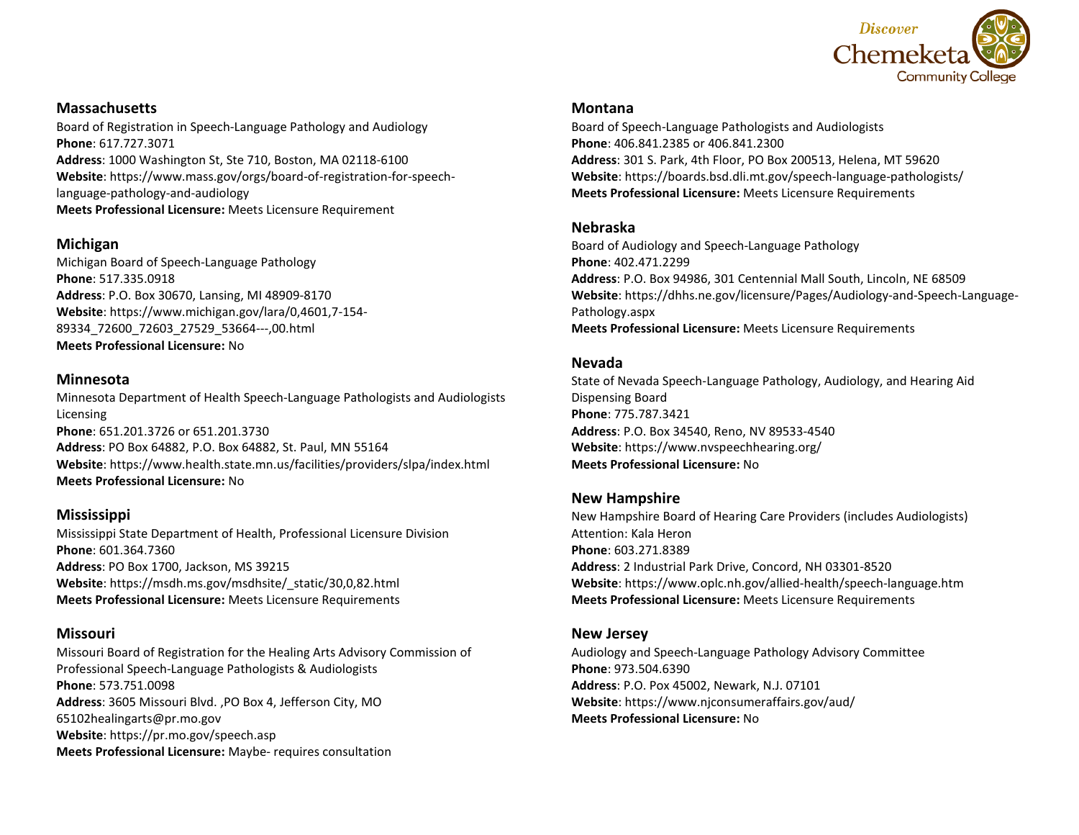

### **Massachusetts**

Board of Registration in Speech-Language Pathology and Audiology **Phone**: 617.727.3071 **Address**: 1000 Washington St, Ste 710, Boston, MA 02118-6100 **Website**: https://www.mass.gov/orgs/board-of-registration-for-speechlanguage-pathology-and-audiology **Meets Professional Licensure:** Meets Licensure Requirement

## **Michigan**

Michigan Board of Speech-Language Pathology **Phone**: 517.335.0918 **Address**: P.O. Box 30670, Lansing, MI 48909-8170 **Website**: https://www.michigan.gov/lara/0,4601,7-154- 89334\_72600\_72603\_27529\_53664---,00.html **Meets Professional Licensure:** No

### **Minnesota**

Minnesota Department of Health Speech-Language Pathologists and Audiologists Licensing **Phone**: 651.201.3726 or 651.201.3730 **Address**: PO Box 64882, P.O. Box 64882, St. Paul, MN 55164 **Website**: https://www.health.state.mn.us/facilities/providers/slpa/index.html **Meets Professional Licensure:** No

# **Mississippi**

Mississippi State Department of Health, Professional Licensure Division **Phone**: 601.364.7360 **Address**: PO Box 1700, Jackson, MS 39215 **Website**: https://msdh.ms.gov/msdhsite/\_static/30,0,82.html **Meets Professional Licensure:** Meets Licensure Requirements

# **Missouri**

Missouri Board of Registration for the Healing Arts Advisory Commission of Professional Speech-Language Pathologists & Audiologists **Phone**: 573.751.0098 **Address**: 3605 Missouri Blvd. ,PO Box 4, Jefferson City, MO 65102healingarts@pr.mo.gov **Website**: https://pr.mo.gov/speech.asp **Meets Professional Licensure:** Maybe- requires consultation

#### **Montana**

Board of Speech-Language Pathologists and Audiologists **Phone**: 406.841.2385 or 406.841.2300 **Address**: 301 S. Park, 4th Floor, PO Box 200513, Helena, MT 59620 **Website**: https://boards.bsd.dli.mt.gov/speech-language-pathologists/ **Meets Professional Licensure:** Meets Licensure Requirements

### **Nebraska**

Board of Audiology and Speech-Language Pathology **Phone**: 402.471.2299 **Address**: P.O. Box 94986, 301 Centennial Mall South, Lincoln, NE 68509 **Website**: https://dhhs.ne.gov/licensure/Pages/Audiology-and-Speech-Language-Pathology.aspx **Meets Professional Licensure:** Meets Licensure Requirements

### **Nevada**

State of Nevada Speech-Language Pathology, Audiology, and Hearing Aid Dispensing Board **Phone**: 775.787.3421 **Address**: P.O. Box 34540, Reno, NV 89533-4540 **Website**: https://www.nvspeechhearing.org/ **Meets Professional Licensure:** No

### **New Hampshire**

New Hampshire Board of Hearing Care Providers (includes Audiologists) Attention: Kala Heron **Phone**: 603.271.8389 **Address**: 2 Industrial Park Drive, Concord, NH 03301-8520 **Website**: https://www.oplc.nh.gov/allied-health/speech-language.htm **Meets Professional Licensure:** Meets Licensure Requirements

#### **New Jersey**

Audiology and Speech-Language Pathology Advisory Committee **Phone**: 973.504.6390 **Address**: P.O. Pox 45002, Newark, N.J. 07101 **Website**: https://www.njconsumeraffairs.gov/aud/ **Meets Professional Licensure:** No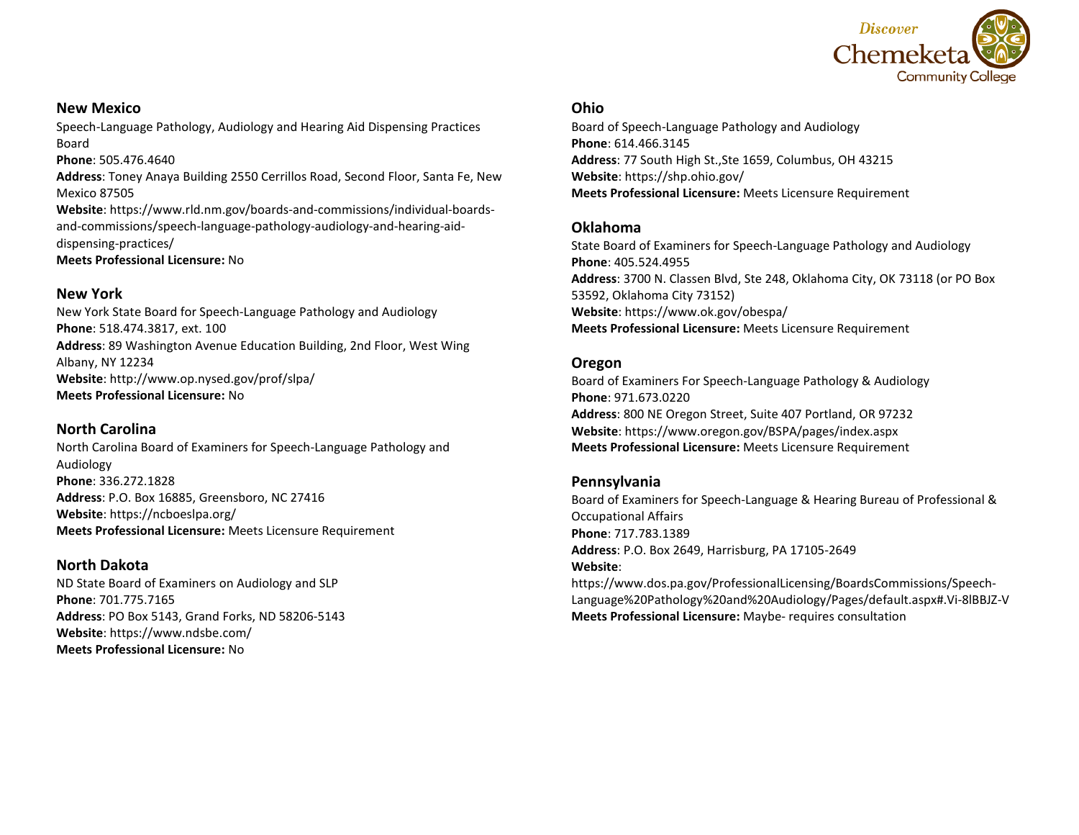

#### **New Mexico**

Speech-Language Pathology, Audiology and Hearing Aid Dispensing Practices Board

#### **Phone**: 505.476.4640

**Address**: Toney Anaya Building 2550 Cerrillos Road, Second Floor, Santa Fe, New Mexico 87505

**Website**: https://www.rld.nm.gov/boards-and-commissions/individual-boardsand-commissions/speech-language-pathology-audiology-and-hearing-aiddispensing-practices/

**Meets Professional Licensure:** No

#### **New York**

New York State Board for Speech-Language Pathology and Audiology **Phone**: 518.474.3817, ext. 100 **Address**: 89 Washington Avenue Education Building, 2nd Floor, West Wing Albany, NY 12234 **Website**: http://www.op.nysed.gov/prof/slpa/ **Meets Professional Licensure:** No

### **North Carolina**

North Carolina Board of Examiners for Speech-Language Pathology and Audiology **Phone**: 336.272.1828 **Address**: P.O. Box 16885, Greensboro, NC 27416 **Website**: https://ncboeslpa.org/ **Meets Professional Licensure:** Meets Licensure Requirement

#### **North Dakota**

ND State Board of Examiners on Audiology and SLP **Phone**: 701.775.7165 **Address**: PO Box 5143, Grand Forks, ND 58206-5143 **Website**: https://www.ndsbe.com/ **Meets Professional Licensure:** No

#### **Ohio**

Board of Speech-Language Pathology and Audiology **Phone**: 614.466.3145 **Address**: 77 South High St.,Ste 1659, Columbus, OH 43215 **Website**: https://shp.ohio.gov/ **Meets Professional Licensure:** Meets Licensure Requirement

#### **Oklahoma**

State Board of Examiners for Speech-Language Pathology and Audiology **Phone**: 405.524.4955 **Address**: 3700 N. Classen Blvd, Ste 248, Oklahoma City, OK 73118 (or PO Box 53592, Oklahoma City 73152) **Website**: https://www.ok.gov/obespa/ **Meets Professional Licensure:** Meets Licensure Requirement

#### **Oregon**

Board of Examiners For Speech-Language Pathology & Audiology **Phone**: 971.673.0220 **Address**: 800 NE Oregon Street, Suite 407 Portland, OR 97232 **Website**: https://www.oregon.gov/BSPA/pages/index.aspx **Meets Professional Licensure:** Meets Licensure Requirement

### **Pennsylvania**

Board of Examiners for Speech-Language & Hearing Bureau of Professional & Occupational Affairs **Phone**: 717.783.1389 **Address**: P.O. Box 2649, Harrisburg, PA 17105-2649 **Website**:

https://www.dos.pa.gov/ProfessionalLicensing/BoardsCommissions/Speech-Language%20Pathology%20and%20Audiology/Pages/default.aspx#.Vi-8lBBJZ-V **Meets Professional Licensure:** Maybe- requires consultation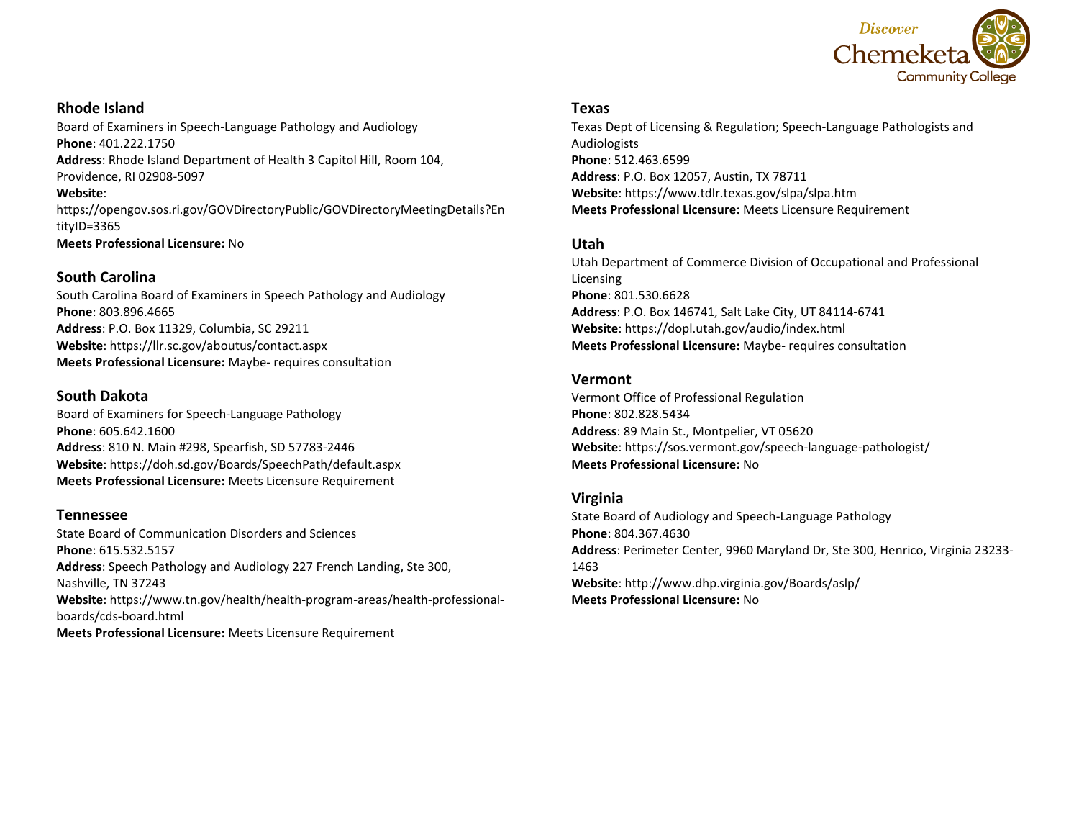

## **Rhode Island**

Board of Examiners in Speech-Language Pathology and Audiology **Phone**: 401.222.1750 **Address**: Rhode Island Department of Health 3 Capitol Hill, Room 104, Providence, RI 02908-5097 **Website**: https://opengov.sos.ri.gov/GOVDirectoryPublic/GOVDirectoryMeetingDetails?En tityID=3365

**Meets Professional Licensure:** No

### **South Carolina**

South Carolina Board of Examiners in Speech Pathology and Audiology **Phone**: 803.896.4665 **Address**: P.O. Box 11329, Columbia, SC 29211 **Website**: https://llr.sc.gov/aboutus/contact.aspx **Meets Professional Licensure:** Maybe- requires consultation

# **South Dakota**

Board of Examiners for Speech-Language Pathology **Phone**: 605.642.1600 **Address**: 810 N. Main #298, Spearfish, SD 57783-2446 **Website**: https://doh.sd.gov/Boards/SpeechPath/default.aspx **Meets Professional Licensure:** Meets Licensure Requirement

# **Tennessee**

State Board of Communication Disorders and Sciences **Phone**: 615.532.5157 **Address**: Speech Pathology and Audiology 227 French Landing, Ste 300, Nashville, TN 37243 **Website**: https://www.tn.gov/health/health-program-areas/health-professionalboards/cds-board.html **Meets Professional Licensure:** Meets Licensure Requirement

### **Texas**

Texas Dept of Licensing & Regulation; Speech-Language Pathologists and Audiologists **Phone**: 512.463.6599 **Address**: P.O. Box 12057, Austin, TX 78711 **Website**: https://www.tdlr.texas.gov/slpa/slpa.htm **Meets Professional Licensure:** Meets Licensure Requirement

# **Utah**

Utah Department of Commerce Division of Occupational and Professional Licensing **Phone**: 801.530.6628 **Address**: P.O. Box 146741, Salt Lake City, UT 84114-6741 **Website**: https://dopl.utah.gov/audio/index.html **Meets Professional Licensure:** Maybe- requires consultation

### **Vermont**

Vermont Office of Professional Regulation **Phone**: 802.828.5434 **Address**: 89 Main St., Montpelier, VT 05620 **Website**: https://sos.vermont.gov/speech-language-pathologist/ **Meets Professional Licensure:** No

# **Virginia**

State Board of Audiology and Speech-Language Pathology **Phone**: 804.367.4630 **Address**: Perimeter Center, 9960 Maryland Dr, Ste 300, Henrico, Virginia 23233- 1463 **Website**: http://www.dhp.virginia.gov/Boards/aslp/ **Meets Professional Licensure:** No